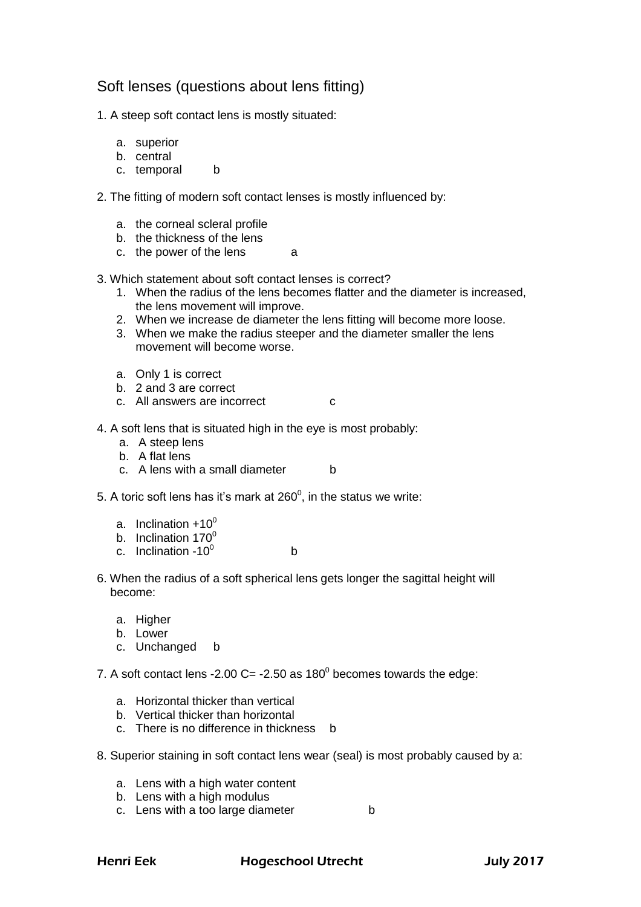## Soft lenses (questions about lens fitting)

1. A steep soft contact lens is mostly situated:

- a. superior
- b. central
- c. temporal b
- 2. The fitting of modern soft contact lenses is mostly influenced by:
	- a. the corneal scleral profile
	- b. the thickness of the lens
	- c. the power of the lens a
- 3. Which statement about soft contact lenses is correct?
	- 1. When the radius of the lens becomes flatter and the diameter is increased, the lens movement will improve.
	- 2. When we increase de diameter the lens fitting will become more loose.
	- 3. When we make the radius steeper and the diameter smaller the lens movement will become worse.
	- a. Only 1 is correct
	- b. 2 and 3 are correct
	- c. All answers are incorrect c
- 4. A soft lens that is situated high in the eye is most probably:
	- a. A steep lens
	- b. A flat lens
	- c. A lens with a small diameter b
- 5. A toric soft lens has it's mark at 260 $^{\rm o}$ , in the status we write:
	- a. Inclination  $+10^0$
	- b. Inclination  $170^{\circ}$
	- c. Inclination  $-10^0$ b
- 6. When the radius of a soft spherical lens gets longer the sagittal height will become:
	- a. Higher
	- b. Lower
	- c. Unchanged b
- 7. A soft contact lens -2.00 C= -2.50 as 180 $^{\circ}$  becomes towards the edge:
	- a. Horizontal thicker than vertical
	- b. Vertical thicker than horizontal
	- c. There is no difference in thickness b
- 8. Superior staining in soft contact lens wear (seal) is most probably caused by a:
	- a. Lens with a high water content
	- b. Lens with a high modulus
	- c. Lens with a too large diameter b

Henri Eek Hogeschool Utrecht July 2017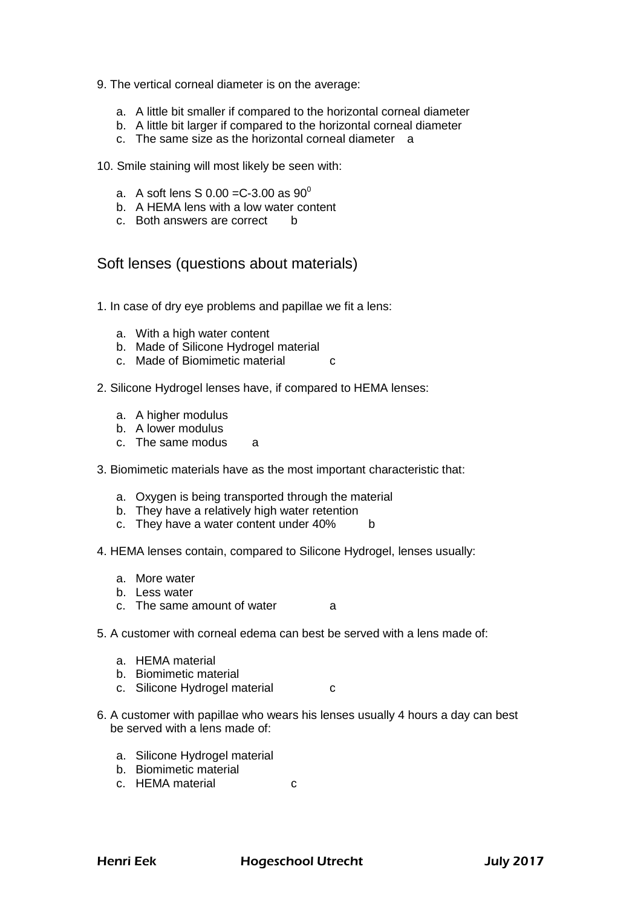- 9. The vertical corneal diameter is on the average:
	- a. A little bit smaller if compared to the horizontal corneal diameter
	- b. A little bit larger if compared to the horizontal corneal diameter
	- c. The same size as the horizontal corneal diameter a

10. Smile staining will most likely be seen with:

- a. A soft lens S  $0.00 = C 3.00$  as  $90^{\circ}$
- b. A HEMA lens with a low water content
- c. Both answers are correct b

## Soft lenses (questions about materials)

- 1. In case of dry eye problems and papillae we fit a lens:
	- a. With a high water content
	- b. Made of Silicone Hydrogel material
	- c. Made of Biomimetic material c
- 2. Silicone Hydrogel lenses have, if compared to HEMA lenses:
	- a. A higher modulus
	- b. A lower modulus
	- c. The same modus a
- 3. Biomimetic materials have as the most important characteristic that:
	- a. Oxygen is being transported through the material
	- b. They have a relatively high water retention
	- c. They have a water content under 40% b
- 4. HEMA lenses contain, compared to Silicone Hydrogel, lenses usually:
	- a. More water
	- b. Less water
	- c. The same amount of water a
- 5. A customer with corneal edema can best be served with a lens made of:
	- a. HEMA material
	- b. Biomimetic material
	- c. Silicone Hydrogel material c
- 6. A customer with papillae who wears his lenses usually 4 hours a day can best be served with a lens made of:
	- a. Silicone Hydrogel material
	- b. Biomimetic material
	- c. HEMA material c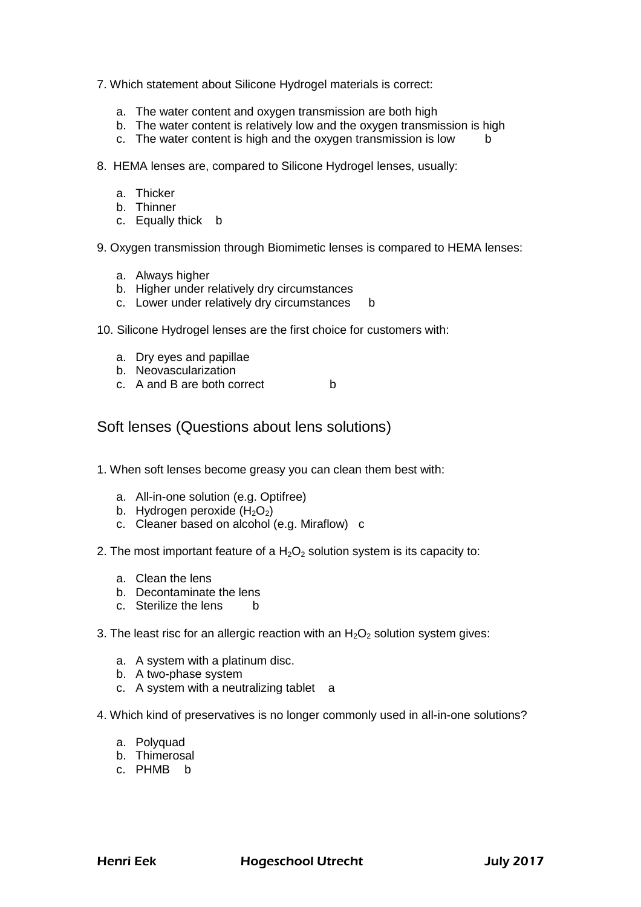- 7. Which statement about Silicone Hydrogel materials is correct:
	- a. The water content and oxygen transmission are both high
	- b. The water content is relatively low and the oxygen transmission is high
	- c. The water content is high and the oxygen transmission is low b
- 8. HEMA lenses are, compared to Silicone Hydrogel lenses, usually:
	- a. Thicker
	- b. Thinner
	- c. Equally thick b
- 9. Oxygen transmission through Biomimetic lenses is compared to HEMA lenses:
	- a. Always higher
	- b. Higher under relatively dry circumstances
	- c. Lower under relatively dry circumstances b
- 10. Silicone Hydrogel lenses are the first choice for customers with:
	- a. Dry eyes and papillae
	- b. Neovascularization
	- c. A and B are both correct b

Soft lenses (Questions about lens solutions)

- 1. When soft lenses become greasy you can clean them best with:
	- a. All-in-one solution (e.g. Optifree)
	- b. Hydrogen peroxide  $(H_2O_2)$
	- c. Cleaner based on alcohol (e.g. Miraflow) c
- 2. The most important feature of a  $H_2O_2$  solution system is its capacity to:
	- a. Clean the lens
	- b. Decontaminate the lens
	- c. Sterilize the lens b
- 3. The least risc for an allergic reaction with an  $H_2O_2$  solution system gives:
	- a. A system with a platinum disc.
	- b. A two-phase system
	- c. A system with a neutralizing tablet a
- 4. Which kind of preservatives is no longer commonly used in all-in-one solutions?
	- a. Polyquad
	- b. Thimerosal
	- c. PHMB b